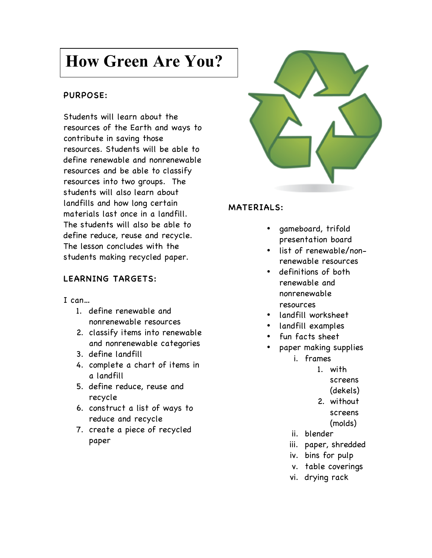# **How Green Are You?**

# PURPOSE:

Students will learn about the resources of the Earth and ways to contribute in saving those resources. Students will be able to define renewable and nonrenewable resources and be able to classify resources into two groups. The students will also learn about landfills and how long certain materials last once in a landfill. The students will also be able to define reduce, reuse and recycle. The lesson concludes with the students making recycled paper.

# LEARNING TARGETS:

#### I can…

- 1. define renewable and nonrenewable resources
- 2. classify items into renewable and nonrenewable categories
- 3. define landfill
- 4. complete a chart of items in a landfill
- 5. define reduce, reuse and recycle
- 6. construct a list of ways to reduce and recycle
- 7. create a piece of recycled paper



#### MATERIALS:

- gameboard, trifold presentation board
- list of renewable/nonrenewable resources
- definitions of both renewable and nonrenewable resources
- landfill worksheet
- landfill examples
- fun facts sheet
- paper making supplies i. frames
	- - 1. with
			- screens
			- (dekels)
		- 2. without
		- screens
		- (molds)
	- ii. blender
	- iii. paper, shredded
	- iv. bins for pulp
	- v. table coverings
	- vi. drying rack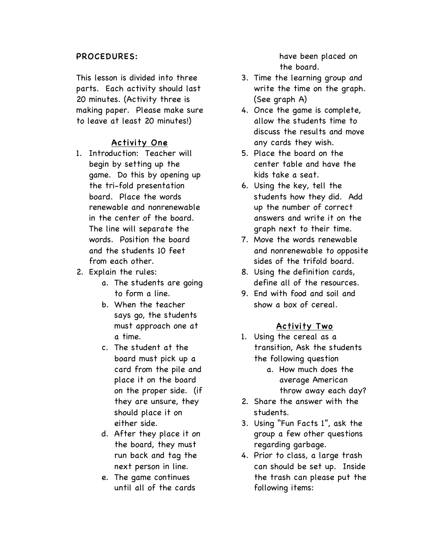#### PROCEDURES:

This lesson is divided into three parts. Each activity should last 20 minutes. (Activity three is making paper. Please make sure to leave at least 20 minutes!)

### Activity One

- 1. Introduction: Teacher will begin by setting up the game. Do this by opening up the tri-fold presentation board. Place the words renewable and nonrenewable in the center of the board. The line will separate the words. Position the board and the students 10 feet from each other.
- 2. Explain the rules:
	- a. The students are going to form a line.
	- b. When the teacher says go, the students must approach one at a time.
	- c. The student at the board must pick up a card from the pile and place it on the board on the proper side. (if they are unsure, they should place it on either side.
	- d. After they place it on the board, they must run back and tag the next person in line.
	- e. The game continues until all of the cards

have been placed on the board.

- 3. Time the learning group and write the time on the graph. (See graph A)
- 4. Once the game is complete, allow the students time to discuss the results and move any cards they wish.
- 5. Place the board on the center table and have the kids take a seat.
- 6. Using the key, tell the students how they did. Add up the number of correct answers and write it on the graph next to their time.
- 7. Move the words renewable and nonrenewable to opposite sides of the trifold board.
- 8. Using the definition cards, define all of the resources.
- 9. End with food and soil and show a box of cereal.

#### Activity Two

- 1. Using the cereal as a transition, Ask the students the following question
	- a. How much does the average American throw away each day?
- 2. Share the answer with the students.
- 3. Using "Fun Facts 1", ask the group a few other questions regarding garbage.
- 4. Prior to class, a large trash can should be set up. Inside the trash can please put the following items: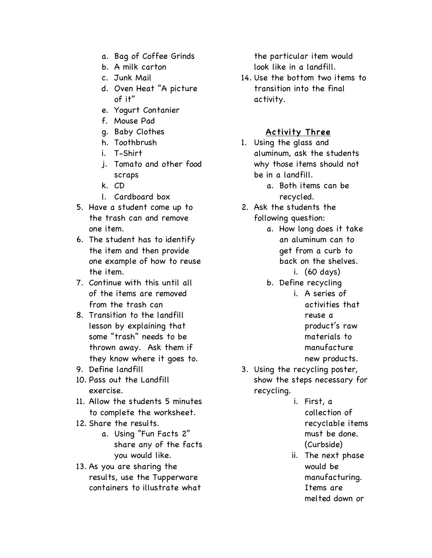- a. Bag of Coffee Grinds
- b. A milk carton
- c. Junk Mail
- d. Oven Heat "A picture of it"
- e. Yogurt Contanier
- f. Mouse Pad
- g. Baby Clothes
- h. Toothbrush
- i. T-Shirt
- j. Tomato and other food scraps
- k. CD
- l. Cardboard box
- 5. Have a student come up to the trash can and remove one item.
- 6. The student has to identify the item and then provide one example of how to reuse the item.
- 7. Continue with this until all of the items are removed from the trash can
- 8. Transition to the landfill lesson by explaining that some "trash" needs to be thrown away. Ask them if they know where it goes to.
- 9. Define landfill
- 10. Pass out the Landfill exercise.
- 11. Allow the students 5 minutes to complete the worksheet.
- 12. Share the results.
	- a. Using "Fun Facts 2" share any of the facts you would like.
- 13. As you are sharing the results, use the Tupperware containers to illustrate what

the particular item would look like in a landfill.

14. Use the bottom two items to transition into the final activity.

# Activity Three

- 1. Using the glass and aluminum, ask the students why those items should not be in a landfill.
	- a. Both items can be recycled.
- 2. Ask the students the following question:
	- a. How long does it take an aluminum can to get from a curb to back on the shelves.
		- i. (60 days)
	- b. Define recycling
		- i. A series of activities that reuse a product's raw materials to manufacture new products.
- 3. Using the recycling poster, show the steps necessary for recycling.
	- i. First, a collection of recyclable items must be done. (Curbside)
	- ii. The next phase would be manufacturing. Items are melted down or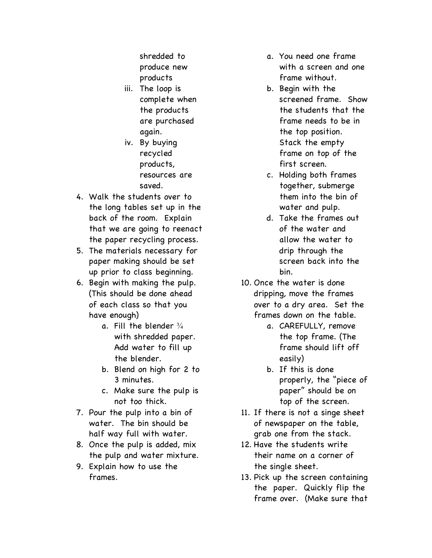shredded to produce new products

- iii. The loop is complete when the products are purchased again.
- iv. By buying recycled products, resources are saved.
- 4. Walk the students over to the long tables set up in the back of the room. Explain that we are going to reenact the paper recycling process.
- 5. The materials necessary for paper making should be set up prior to class beginning.
- 6. Begin with making the pulp. (This should be done ahead of each class so that you have enough)
	- a. Fill the blender  $\frac{3}{4}$ with shredded paper. Add water to fill up the blender.
	- b. Blend on high for 2 to 3 minutes.
	- c. Make sure the pulp is not too thick.
- 7. Pour the pulp into a bin of water. The bin should be half way full with water.
- 8. Once the pulp is added, mix the pulp and water mixture.
- 9. Explain how to use the frames.
- a. You need one frame with a screen and one frame without.
- b. Begin with the screened frame. Show the students that the frame needs to be in the top position. Stack the empty frame on top of the first screen.
- c. Holding both frames together, submerge them into the bin of water and pulp.
- d. Take the frames out of the water and allow the water to drip through the screen back into the bin.
- 10. Once the water is done dripping, move the frames over to a dry area. Set the frames down on the table.
	- a. CAREFULLY, remove the top frame. (The frame should lift off easily)
	- b. If this is done properly, the "piece of paper" should be on top of the screen.
- 11. If there is not a singe sheet of newspaper on the table, grab one from the stack.
- 12. Have the students write their name on a corner of the single sheet.
- 13. Pick up the screen containing the paper. Quickly flip the frame over. (Make sure that